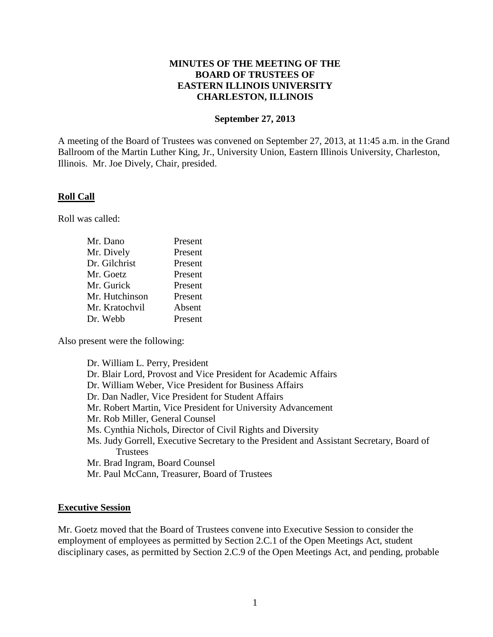## **MINUTES OF THE MEETING OF THE BOARD OF TRUSTEES OF EASTERN ILLINOIS UNIVERSITY CHARLESTON, ILLINOIS**

# **September 27, 2013**

A meeting of the Board of Trustees was convened on September 27, 2013, at 11:45 a.m. in the Grand Ballroom of the Martin Luther King, Jr., University Union, Eastern Illinois University, Charleston, Illinois. Mr. Joe Dively, Chair, presided.

#### **Roll Call**

Roll was called:

| Mr. Dano       | Present |
|----------------|---------|
| Mr. Dively     | Present |
| Dr. Gilchrist  | Present |
| Mr. Goetz      | Present |
| Mr. Gurick     | Present |
| Mr. Hutchinson | Present |
| Mr. Kratochvil | Absent  |
| Dr. Webb       | Present |

Also present were the following:

| Dr. William L. Perry, President                                                                                                                |
|------------------------------------------------------------------------------------------------------------------------------------------------|
| Dr. Blair Lord, Provost and Vice President for Academic Affairs                                                                                |
| Dr. William Weber, Vice President for Business Affairs                                                                                         |
| Dr. Dan Nadler, Vice President for Student Affairs                                                                                             |
| Mr. Robert Martin, Vice President for University Advancement                                                                                   |
| Mr. Rob Miller, General Counsel                                                                                                                |
| Ms. Cynthia Nichols, Director of Civil Rights and Diversity                                                                                    |
| Ms. Judy Gorrell, Executive Secretary to the President and Assistant Secretary, Board of                                                       |
| <b>Trustees</b>                                                                                                                                |
| Mr. Brad Ingram, Board Counsel                                                                                                                 |
| $\mathbf{u}$ $\mathbf{v}$ $\mathbf{v}$ $\mathbf{v}$ $\mathbf{v}$ $\mathbf{v}$ $\mathbf{v}$ $\mathbf{v}$ $\mathbf{v}$ $\mathbf{v}$ $\mathbf{v}$ |

Mr. Paul McCann, Treasurer, Board of Trustees

#### **Executive Session**

Mr. Goetz moved that the Board of Trustees convene into Executive Session to consider the employment of employees as permitted by Section 2.C.1 of the Open Meetings Act, student disciplinary cases, as permitted by Section 2.C.9 of the Open Meetings Act, and pending, probable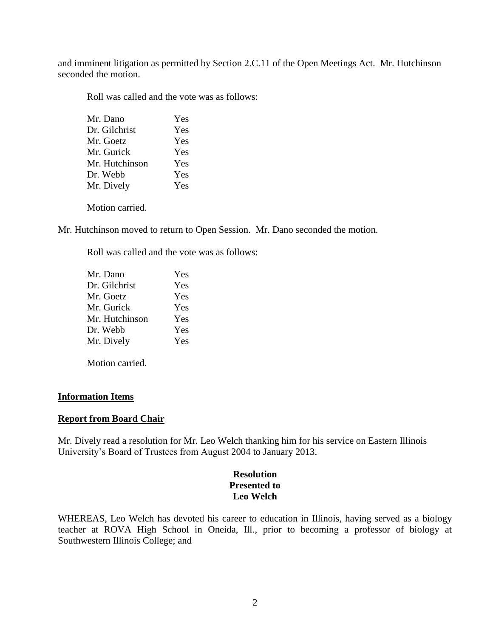and imminent litigation as permitted by Section 2.C.11 of the Open Meetings Act. Mr. Hutchinson seconded the motion.

Roll was called and the vote was as follows:

| Mr. Dano       | Yes |
|----------------|-----|
| Dr. Gilchrist  | Yes |
| Mr. Goetz      | Yes |
| Mr. Gurick     | Yes |
| Mr. Hutchinson | Yes |
| Dr. Webb       | Yes |
| Mr. Dively     | Yes |
|                |     |

Motion carried.

Mr. Hutchinson moved to return to Open Session. Mr. Dano seconded the motion.

Roll was called and the vote was as follows:

| Mr. Dano       | Yes |
|----------------|-----|
| Dr. Gilchrist  | Yes |
| Mr. Goetz      | Yes |
| Mr. Gurick     | Yes |
| Mr. Hutchinson | Yes |
| Dr. Webb       | Yes |
| Mr. Dively     | Yes |
|                |     |

Motion carried.

#### **Information Items**

#### **Report from Board Chair**

Mr. Dively read a resolution for Mr. Leo Welch thanking him for his service on Eastern Illinois University's Board of Trustees from August 2004 to January 2013.

## **Resolution Presented to Leo Welch**

WHEREAS, Leo Welch has devoted his career to education in Illinois, having served as a biology teacher at ROVA High School in Oneida, Ill., prior to becoming a professor of biology at Southwestern Illinois College; and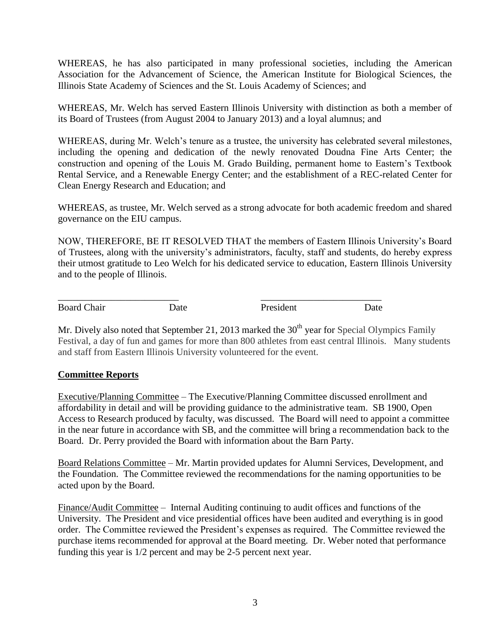WHEREAS, he has also participated in many professional societies, including the American Association for the Advancement of Science, the American Institute for Biological Sciences, the Illinois State Academy of Sciences and the St. Louis Academy of Sciences; and

WHEREAS, Mr. Welch has served Eastern Illinois University with distinction as both a member of its Board of Trustees (from August 2004 to January 2013) and a loyal alumnus; and

WHEREAS, during Mr. Welch's tenure as a trustee, the university has celebrated several milestones, including the opening and dedication of the newly renovated Doudna Fine Arts Center; the construction and opening of the Louis M. Grado Building, permanent home to Eastern's Textbook Rental Service, and a Renewable Energy Center; and the establishment of a REC-related Center for Clean Energy Research and Education; and

WHEREAS, as trustee, Mr. Welch served as a strong advocate for both academic freedom and shared governance on the EIU campus.

NOW, THEREFORE, BE IT RESOLVED THAT the members of Eastern Illinois University's Board of Trustees, along with the university's administrators, faculty, staff and students, do hereby express their utmost gratitude to Leo Welch for his dedicated service to education, Eastern Illinois University and to the people of Illinois.

Board Chair **Date Date President Date Date** 

\_\_\_\_\_\_\_\_\_\_\_\_\_\_\_\_\_\_\_\_\_\_\_\_\_ \_\_\_\_\_\_\_\_\_\_\_\_\_\_\_\_\_\_\_\_\_\_\_\_\_

Mr. Dively also noted that September 21, 2013 marked the  $30<sup>th</sup>$  year for Special Olympics Family Festival, a day of fun and games for more than 800 athletes from east central Illinois. Many students and staff from Eastern Illinois University volunteered for the event.

# **Committee Reports**

Executive/Planning Committee – The Executive/Planning Committee discussed enrollment and affordability in detail and will be providing guidance to the administrative team. SB 1900, Open Access to Research produced by faculty, was discussed. The Board will need to appoint a committee in the near future in accordance with SB, and the committee will bring a recommendation back to the Board. Dr. Perry provided the Board with information about the Barn Party.

Board Relations Committee – Mr. Martin provided updates for Alumni Services, Development, and the Foundation. The Committee reviewed the recommendations for the naming opportunities to be acted upon by the Board.

Finance/Audit Committee – Internal Auditing continuing to audit offices and functions of the University. The President and vice presidential offices have been audited and everything is in good order. The Committee reviewed the President's expenses as required. The Committee reviewed the purchase items recommended for approval at the Board meeting. Dr. Weber noted that performance funding this year is 1/2 percent and may be 2-5 percent next year.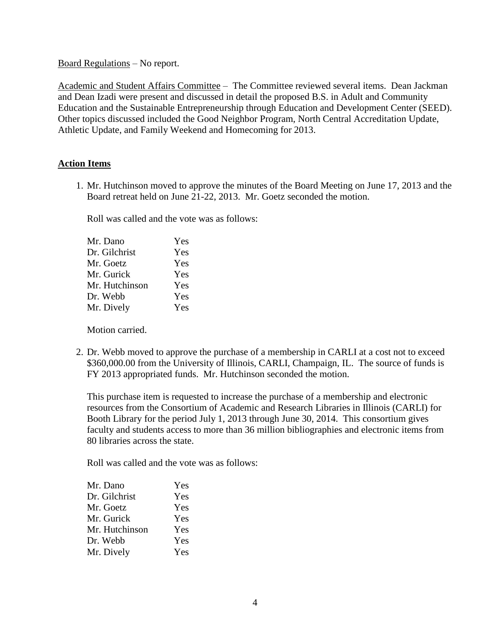Board Regulations – No report.

Academic and Student Affairs Committee – The Committee reviewed several items. Dean Jackman and Dean Izadi were present and discussed in detail the proposed B.S. in Adult and Community Education and the Sustainable Entrepreneurship through Education and Development Center (SEED). Other topics discussed included the Good Neighbor Program, North Central Accreditation Update, Athletic Update, and Family Weekend and Homecoming for 2013.

# **Action Items**

1. Mr. Hutchinson moved to approve the minutes of the Board Meeting on June 17, 2013 and the Board retreat held on June 21-22, 2013. Mr. Goetz seconded the motion.

Roll was called and the vote was as follows:

| Yes |
|-----|
| Yes |
| Yes |
| Yes |
| Yes |
| Yes |
| Yes |
|     |

Motion carried.

2. Dr. Webb moved to approve the purchase of a membership in CARLI at a cost not to exceed \$360,000.00 from the University of Illinois, CARLI, Champaign, IL. The source of funds is FY 2013 appropriated funds. Mr. Hutchinson seconded the motion.

This purchase item is requested to increase the purchase of a membership and electronic resources from the Consortium of Academic and Research Libraries in Illinois (CARLI) for Booth Library for the period July 1, 2013 through June 30, 2014. This consortium gives faculty and students access to more than 36 million bibliographies and electronic items from 80 libraries across the state.

Roll was called and the vote was as follows:

| Mr. Dano       | Yes |
|----------------|-----|
| Dr. Gilchrist  | Yes |
| Mr. Goetz      | Yes |
| Mr. Gurick     | Yes |
| Mr. Hutchinson | Yes |
| Dr. Webb       | Yes |
| Mr. Dively     | Yes |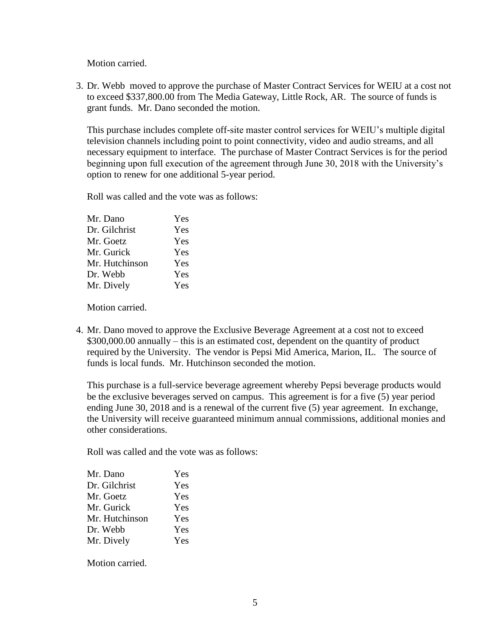Motion carried.

3. Dr. Webb moved to approve the purchase of Master Contract Services for WEIU at a cost not to exceed \$337,800.00 from The Media Gateway, Little Rock, AR. The source of funds is grant funds. Mr. Dano seconded the motion.

This purchase includes complete off-site master control services for WEIU's multiple digital television channels including point to point connectivity, video and audio streams, and all necessary equipment to interface. The purchase of Master Contract Services is for the period beginning upon full execution of the agreement through June 30, 2018 with the University's option to renew for one additional 5-year period.

Roll was called and the vote was as follows:

| Yes |
|-----|
| Yes |
| Yes |
| Yes |
| Yes |
| Yes |
| Yes |
|     |

Motion carried.

4. Mr. Dano moved to approve the Exclusive Beverage Agreement at a cost not to exceed \$300,000.00 annually – this is an estimated cost, dependent on the quantity of product required by the University. The vendor is Pepsi Mid America, Marion, IL. The source of funds is local funds. Mr. Hutchinson seconded the motion.

This purchase is a full-service beverage agreement whereby Pepsi beverage products would be the exclusive beverages served on campus. This agreement is for a five (5) year period ending June 30, 2018 and is a renewal of the current five (5) year agreement. In exchange, the University will receive guaranteed minimum annual commissions, additional monies and other considerations.

Roll was called and the vote was as follows:

| Mr. Dano       | Yes |
|----------------|-----|
| Dr. Gilchrist  | Yes |
| Mr. Goetz      | Yes |
| Mr. Gurick     | Yes |
| Mr. Hutchinson | Yes |
| Dr. Webb       | Yes |
| Mr. Dively     | Yes |

Motion carried.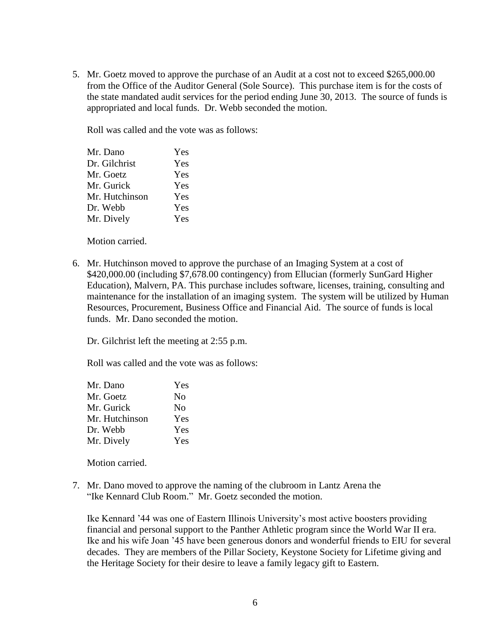5. Mr. Goetz moved to approve the purchase of an Audit at a cost not to exceed \$265,000.00 from the Office of the Auditor General (Sole Source). This purchase item is for the costs of the state mandated audit services for the period ending June 30, 2013. The source of funds is appropriated and local funds. Dr. Webb seconded the motion.

Roll was called and the vote was as follows:

| Mr. Dano       | Yes |
|----------------|-----|
| Dr. Gilchrist  | Yes |
| Mr. Goetz      | Yes |
| Mr. Gurick     | Yes |
| Mr. Hutchinson | Yes |
| Dr. Webb       | Yes |
| Mr. Dively     | Yes |
|                |     |

Motion carried.

6. Mr. Hutchinson moved to approve the purchase of an Imaging System at a cost of \$420,000.00 (including \$7,678.00 contingency) from Ellucian (formerly SunGard Higher Education), Malvern, PA. This purchase includes software, licenses, training, consulting and maintenance for the installation of an imaging system. The system will be utilized by Human Resources, Procurement, Business Office and Financial Aid. The source of funds is local funds. Mr. Dano seconded the motion.

Dr. Gilchrist left the meeting at 2:55 p.m.

Roll was called and the vote was as follows:

| Mr. Dano       | Yes |
|----------------|-----|
| Mr. Goetz      | No  |
| Mr. Gurick     | No  |
| Mr. Hutchinson | Yes |
| Dr. Webb       | Yes |
| Mr. Dively     | Yes |

Motion carried.

7. Mr. Dano moved to approve the naming of the clubroom in Lantz Arena the "Ike Kennard Club Room." Mr. Goetz seconded the motion.

Ike Kennard '44 was one of Eastern Illinois University's most active boosters providing financial and personal support to the Panther Athletic program since the World War II era. Ike and his wife Joan '45 have been generous donors and wonderful friends to EIU for several decades. They are members of the Pillar Society, Keystone Society for Lifetime giving and the Heritage Society for their desire to leave a family legacy gift to Eastern.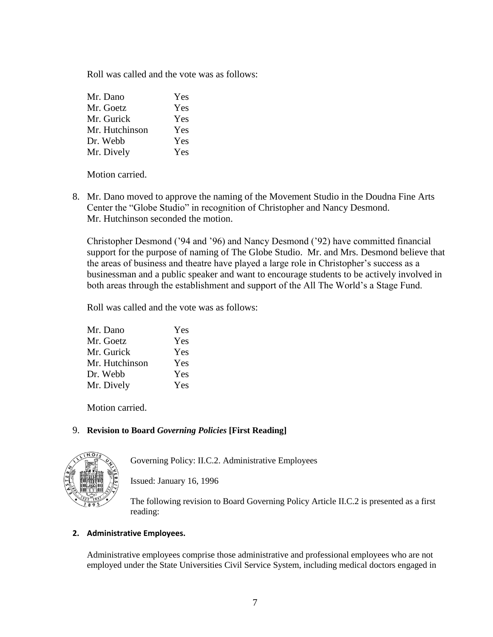Roll was called and the vote was as follows:

| Yes |
|-----|
| Yes |
| Yes |
| Yes |
| Yes |
| Yes |
|     |

Motion carried.

8. Mr. Dano moved to approve the naming of the Movement Studio in the Doudna Fine Arts Center the "Globe Studio" in recognition of Christopher and Nancy Desmond. Mr. Hutchinson seconded the motion.

Christopher Desmond ('94 and '96) and Nancy Desmond ('92) have committed financial support for the purpose of naming of The Globe Studio. Mr. and Mrs. Desmond believe that the areas of business and theatre have played a large role in Christopher's success as a businessman and a public speaker and want to encourage students to be actively involved in both areas through the establishment and support of the All The World's a Stage Fund.

Roll was called and the vote was as follows:

| Mr. Dano       | Yes |
|----------------|-----|
| Mr. Goetz      | Yes |
| Mr. Gurick     | Yes |
| Mr. Hutchinson | Yes |
| Dr. Webb       | Yes |
| Mr. Dively     | Yes |

Motion carried.

# 9. **Revision to Board** *Governing Policies* **[First Reading]**



Governing Policy: II.C.2. Administrative Employees

Issued: January 16, 1996

The following revision to Board Governing Policy Article II.C.2 is presented as a first reading:

# **2. Administrative Employees.**

Administrative employees comprise those administrative and professional employees who are not employed under the State Universities Civil Service System, including medical doctors engaged in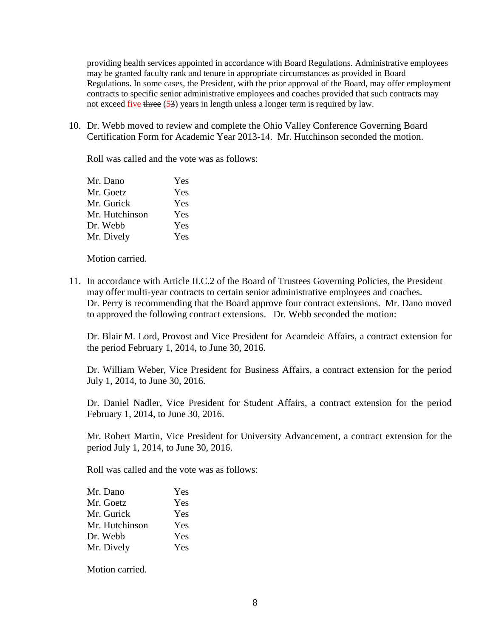providing health services appointed in accordance with Board Regulations. Administrative employees may be granted faculty rank and tenure in appropriate circumstances as provided in Board Regulations. In some cases, the President, with the prior approval of the Board, may offer employment contracts to specific senior administrative employees and coaches provided that such contracts may not exceed five three (53) years in length unless a longer term is required by law.

10. Dr. Webb moved to review and complete the Ohio Valley Conference Governing Board Certification Form for Academic Year 2013-14. Mr. Hutchinson seconded the motion.

Roll was called and the vote was as follows:

| Mr. Dano       | Yes |
|----------------|-----|
| Mr. Goetz      | Yes |
| Mr. Gurick     | Yes |
| Mr. Hutchinson | Yes |
| Dr. Webb       | Yes |
| Mr. Dively     | Yes |

Motion carried.

11. In accordance with Article II.C.2 of the Board of Trustees Governing Policies, the President may offer multi-year contracts to certain senior administrative employees and coaches. Dr. Perry is recommending that the Board approve four contract extensions. Mr. Dano moved to approved the following contract extensions. Dr. Webb seconded the motion:

Dr. Blair M. Lord, Provost and Vice President for Acamdeic Affairs, a contract extension for the period February 1, 2014, to June 30, 2016.

Dr. William Weber, Vice President for Business Affairs, a contract extension for the period July 1, 2014, to June 30, 2016.

Dr. Daniel Nadler, Vice President for Student Affairs, a contract extension for the period February 1, 2014, to June 30, 2016.

Mr. Robert Martin, Vice President for University Advancement, a contract extension for the period July 1, 2014, to June 30, 2016.

Roll was called and the vote was as follows:

| Mr. Dano       | Yes |
|----------------|-----|
| Mr. Goetz      | Yes |
| Mr. Gurick     | Yes |
| Mr. Hutchinson | Yes |
| Dr. Webb       | Yes |
| Mr. Dively     | Yes |

Motion carried.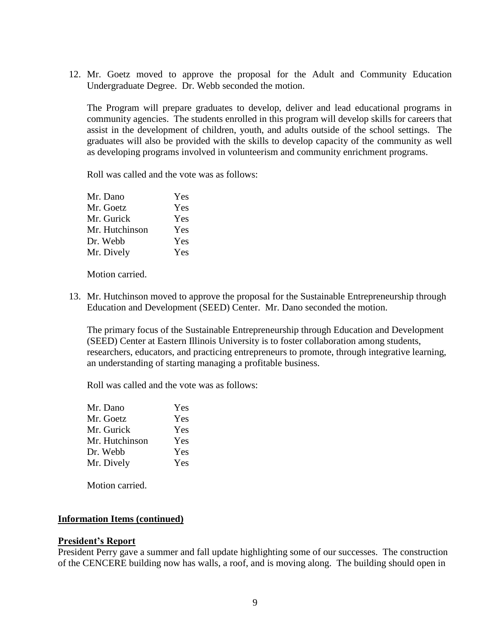12. Mr. Goetz moved to approve the proposal for the Adult and Community Education Undergraduate Degree. Dr. Webb seconded the motion.

The Program will prepare graduates to develop, deliver and lead educational programs in community agencies. The students enrolled in this program will develop skills for careers that assist in the development of children, youth, and adults outside of the school settings. The graduates will also be provided with the skills to develop capacity of the community as well as developing programs involved in volunteerism and community enrichment programs.

Roll was called and the vote was as follows:

| Mr. Dano       | Yes |
|----------------|-----|
| Mr. Goetz      | Yes |
| Mr. Gurick     | Yes |
| Mr. Hutchinson | Yes |
| Dr. Webb       | Yes |
| Mr. Dively     | Yes |

Motion carried.

13. Mr. Hutchinson moved to approve the proposal for the Sustainable Entrepreneurship through Education and Development (SEED) Center. Mr. Dano seconded the motion.

The primary focus of the Sustainable Entrepreneurship through Education and Development (SEED) Center at Eastern Illinois University is to foster collaboration among students, researchers, educators, and practicing entrepreneurs to promote, through integrative learning, an understanding of starting managing a profitable business.

Roll was called and the vote was as follows:

| Yes |
|-----|
| Yes |
| Yes |
| Yes |
| Yes |
| Yes |
|     |

Motion carried.

### **Information Items (continued)**

### **President's Report**

President Perry gave a summer and fall update highlighting some of our successes. The construction of the CENCERE building now has walls, a roof, and is moving along. The building should open in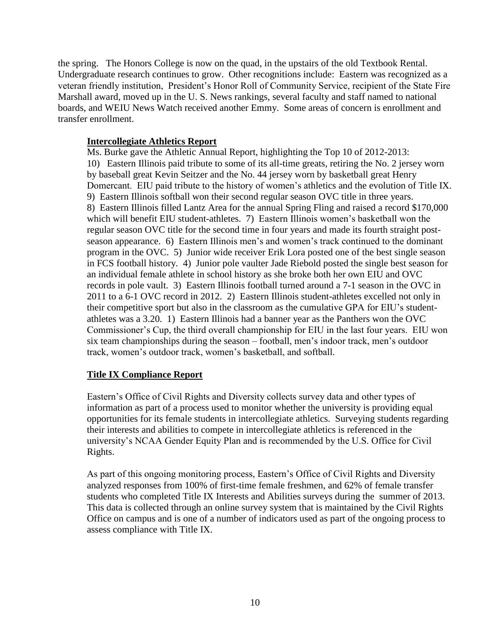the spring. The Honors College is now on the quad, in the upstairs of the old Textbook Rental. Undergraduate research continues to grow. Other recognitions include: Eastern was recognized as a veteran friendly institution, President's Honor Roll of Community Service, recipient of the State Fire Marshall award, moved up in the U. S. News rankings, several faculty and staff named to national boards, and WEIU News Watch received another Emmy. Some areas of concern is enrollment and transfer enrollment.

## **Intercollegiate Athletics Report**

Ms. Burke gave the Athletic Annual Report, highlighting the Top 10 of 2012-2013: 10) Eastern Illinois paid tribute to some of its all-time greats, retiring the No. 2 jersey worn by baseball great Kevin Seitzer and the No. 44 jersey worn by basketball great Henry Domercant. EIU paid tribute to the history of women's athletics and the evolution of Title IX. 9) Eastern Illinois softball won their second regular season OVC title in three years. 8) Eastern Illinois filled Lantz Area for the annual Spring Fling and raised a record \$170,000 which will benefit EIU student-athletes. 7) Eastern Illinois women's basketball won the regular season OVC title for the second time in four years and made its fourth straight postseason appearance. 6) Eastern Illinois men's and women's track continued to the dominant program in the OVC. 5) Junior wide receiver Erik Lora posted one of the best single season in FCS football history. 4) Junior pole vaulter Jade Riebold posted the single best season for an individual female athlete in school history as she broke both her own EIU and OVC records in pole vault. 3) Eastern Illinois football turned around a 7-1 season in the OVC in 2011 to a 6-1 OVC record in 2012. 2) Eastern Illinois student-athletes excelled not only in their competitive sport but also in the classroom as the cumulative GPA for EIU's studentathletes was a 3.20. 1) Eastern Illinois had a banner year as the Panthers won the OVC Commissioner's Cup, the third overall championship for EIU in the last four years. EIU won six team championships during the season – football, men's indoor track, men's outdoor track, women's outdoor track, women's basketball, and softball.

# **Title IX Compliance Report**

Eastern's Office of Civil Rights and Diversity collects survey data and other types of information as part of a process used to monitor whether the university is providing equal opportunities for its female students in intercollegiate athletics. Surveying students regarding their interests and abilities to compete in intercollegiate athletics is referenced in the university's NCAA Gender Equity Plan and is recommended by the U.S. Office for Civil Rights.

As part of this ongoing monitoring process, Eastern's Office of Civil Rights and Diversity analyzed responses from 100% of first-time female freshmen, and 62% of female transfer students who completed Title IX Interests and Abilities surveys during the summer of 2013. This data is collected through an online survey system that is maintained by the Civil Rights Office on campus and is one of a number of indicators used as part of the ongoing process to assess compliance with Title IX.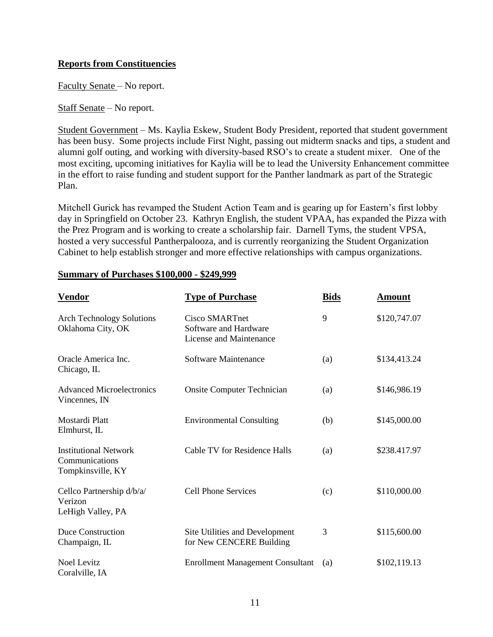# **Reports from Constituencies**

Faculty Senate – No report.

Staff Senate – No report.

Student Government – Ms. Kaylia Eskew, Student Body President, reported that student government has been busy. Some projects include First Night, passing out midterm snacks and tips, a student and alumni golf outing, and working with diversity-based RSO's to create a student mixer. One of the most exciting, upcoming initiatives for Kaylia will be to lead the University Enhancement committee in the effort to raise funding and student support for the Panther landmark as part of the Strategic Plan.

Mitchell Gurick has revamped the Student Action Team and is gearing up for Eastern's first lobby day in Springfield on October 23. Kathryn English, the student VPAA, has expanded the Pizza with the Prez Program and is working to create a scholarship fair. Darnell Tyms, the student VPSA, hosted a very successful Pantherpalooza, and is currently reorganizing the Student Organization Cabinet to help establish stronger and more effective relationships with campus organizations.

| <u>Vendor</u>                                                       | <b>Type of Purchase</b>                                            | <b>Bids</b> | <u>Amount</u> |
|---------------------------------------------------------------------|--------------------------------------------------------------------|-------------|---------------|
| <b>Arch Technology Solutions</b><br>Oklahoma City, OK               | Cisco SMARTnet<br>Software and Hardware<br>License and Maintenance | 9           | \$120,747.07  |
| Oracle America Inc.<br>Chicago, IL                                  | Software Maintenance                                               | (a)         | \$134,413.24  |
| <b>Advanced Microelectronics</b><br>Vincennes, IN                   | <b>Onsite Computer Technician</b>                                  | (a)         | \$146,986.19  |
| Mostardi Platt<br>Elmhurst, IL                                      | <b>Environmental Consulting</b>                                    | (b)         | \$145,000.00  |
| <b>Institutional Network</b><br>Communications<br>Tompkinsville, KY | Cable TV for Residence Halls                                       | (a)         | \$238.417.97  |
| Cellco Partnership d/b/a/<br>Verizon<br>LeHigh Valley, PA           | <b>Cell Phone Services</b>                                         | (c)         | \$110,000.00  |
| Duce Construction<br>Champaign, IL                                  | Site Utilities and Development<br>for New CENCERE Building         | 3           | \$115,600.00  |
| <b>Noel Levitz</b><br>Coralville, IA                                | <b>Enrollment Management Consultant</b>                            | (a)         | \$102,119.13  |

### **Summary of Purchases \$100,000 - \$249,999**